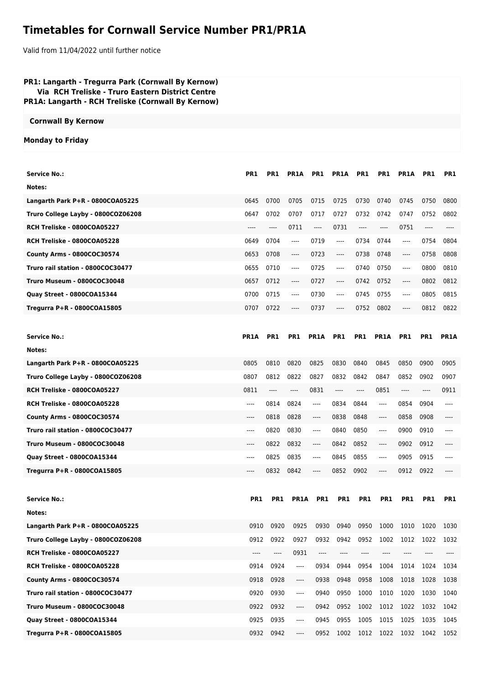## **Timetables for Cornwall Service Number PR1/PR1A**

Valid from 11/04/2022 until further notice

| PR1: Langarth - Tregurra Park (Cornwall By Kernow)<br>Via RCH Treliske - Truro Eastern District Centre<br>PR1A: Langarth - RCH Treliske (Cornwall By Kernow) |             |            |                                                                                                                                                                                                                    |                                                             |             |       |       |                               |       |             |
|--------------------------------------------------------------------------------------------------------------------------------------------------------------|-------------|------------|--------------------------------------------------------------------------------------------------------------------------------------------------------------------------------------------------------------------|-------------------------------------------------------------|-------------|-------|-------|-------------------------------|-------|-------------|
| <b>Cornwall By Kernow</b>                                                                                                                                    |             |            |                                                                                                                                                                                                                    |                                                             |             |       |       |                               |       |             |
| <b>Monday to Friday</b>                                                                                                                                      |             |            |                                                                                                                                                                                                                    |                                                             |             |       |       |                               |       |             |
|                                                                                                                                                              |             |            |                                                                                                                                                                                                                    |                                                             |             |       |       |                               |       |             |
| <b>Service No.:</b>                                                                                                                                          | PR1         | PR1        | PR1A                                                                                                                                                                                                               | PR1                                                         | <b>PR1A</b> | PR1   | PR1   | PR <sub>1</sub> A             | PR1   | PR1         |
| Notes:                                                                                                                                                       |             |            |                                                                                                                                                                                                                    |                                                             |             |       |       |                               |       |             |
| Langarth Park P+R - 0800COA05225                                                                                                                             | 0645        | 0700       | 0705                                                                                                                                                                                                               | 0715                                                        | 0725        | 0730  | 0740  | 0745                          | 0750  | 0800        |
| Truro College Layby - 0800COZ06208                                                                                                                           | 0647        | 0702       | 0707                                                                                                                                                                                                               | 0717                                                        | 0727        | 0732  | 0742  | 0747                          | 0752  | 0802        |
| RCH Treliske - 0800COA05227                                                                                                                                  | ----        | ----       | 0711                                                                                                                                                                                                               | $\hspace{0.05cm}\ldots\hspace{0.05cm}\ldots\hspace{0.05cm}$ | 0731        | $---$ | $---$ | 0751                          | $---$ |             |
| RCH Treliske - 0800COA05228                                                                                                                                  | 0649        | 0704       | ----                                                                                                                                                                                                               | 0719                                                        | ----        | 0734  | 0744  | ----                          | 0754  | 0804        |
| County Arms - 0800COC30574                                                                                                                                   | 0653        | 0708       | $\cdots$                                                                                                                                                                                                           | 0723                                                        | ----        | 0738  | 0748  | ----                          | 0758  | 0808        |
| Truro rail station - 0800COC30477                                                                                                                            | 0655        | 0710       | ----                                                                                                                                                                                                               | 0725                                                        | ----        | 0740  | 0750  | $\hspace{1.5cm} \textbf{---}$ | 0800  | 0810        |
| Truro Museum - 0800COC30048                                                                                                                                  | 0657        | 0712       | ----                                                                                                                                                                                                               | 0727                                                        | ----        | 0742  | 0752  | $\hspace{1.5cm} \textbf{---}$ | 0802  | 0812        |
| Quay Street - 0800COA15344                                                                                                                                   | 0700        | 0715       | $\cdots$                                                                                                                                                                                                           | 0730                                                        | ----        | 0745  | 0755  | $\hspace{1.5cm} \textbf{---}$ | 0805  | 0815        |
| Tregurra P+R - 0800COA15805                                                                                                                                  | 0707        | 0722       | ----                                                                                                                                                                                                               | 0737                                                        | ----        | 0752  | 0802  | $-----$                       | 0812  | 0822        |
|                                                                                                                                                              |             |            |                                                                                                                                                                                                                    |                                                             |             |       |       |                               |       |             |
| <b>Service No.:</b>                                                                                                                                          | <b>PR1A</b> | <b>PR1</b> | PR <sub>1</sub>                                                                                                                                                                                                    | PR1A                                                        | <b>PR1</b>  | PR1   | PR1A  | <b>PR1</b>                    | PR1   | <b>PR1A</b> |
| Notes:                                                                                                                                                       |             |            |                                                                                                                                                                                                                    |                                                             |             |       |       |                               |       |             |
| Langarth Park P+R - 0800COA05225                                                                                                                             | 0805        | 0810       | 0820                                                                                                                                                                                                               | 0825                                                        | 0830        | 0840  | 0845  | 0850                          | 0900  | 0905        |
| Truro College Layby - 0800COZ06208                                                                                                                           | 0807        | 0812       | 0822                                                                                                                                                                                                               | 0827                                                        | 0832        | 0842  | 0847  | 0852                          | 0902  | 0907        |
| RCH Treliske - 0800COA05227                                                                                                                                  | 0811        | $---$      | ----                                                                                                                                                                                                               | 0831                                                        | ----        | ----  | 0851  | ----                          | ----  | 0911        |
| RCH Treliske - 0800COA05228                                                                                                                                  | $---$       | 0814       | 0824                                                                                                                                                                                                               | ----                                                        | 0834        | 0844  | $---$ | 0854                          | 0904  | ----        |
| County Arms - 0800COC30574                                                                                                                                   | $---$       | 0818       | 0828                                                                                                                                                                                                               | ----                                                        | 0838        | 0848  | ----  | 0858                          | 0908  |             |
| Truro rail station - 0800COC30477                                                                                                                            | $---$       | 0820       | 0830                                                                                                                                                                                                               | ----                                                        | 0840        | 0850  | ----  | 0900                          | 0910  |             |
| <b>Truro Museum - 0800COC30048</b>                                                                                                                           | ----        | 0822       | 0832                                                                                                                                                                                                               | ----                                                        | 0842        | 0852  | ----  | 0902                          | 0912  | ----        |
| Quay Street - 0800COA15344                                                                                                                                   | $---$       | 0825       | 0835                                                                                                                                                                                                               | ----                                                        | 0845        | 0855  | ----  | 0905                          | 0915  |             |
| Tregurra P+R - 0800COA15805                                                                                                                                  | $---$       | 0832       | 0842                                                                                                                                                                                                               | ----                                                        | 0852        | 0902  | ----  | 0912                          | 0922  |             |
|                                                                                                                                                              |             |            |                                                                                                                                                                                                                    |                                                             |             |       |       |                               |       |             |
| <b>Service No.:</b>                                                                                                                                          | PR1         | PR1        | PR1A                                                                                                                                                                                                               | PR1                                                         | PR1         | PR1   | PR1   | PR1                           | PR1   | PR1         |
| Notes:                                                                                                                                                       |             |            |                                                                                                                                                                                                                    |                                                             |             |       |       |                               |       |             |
| Langarth Park P+R - 0800COA05225                                                                                                                             | 0910        | 0920       | 0925                                                                                                                                                                                                               | 0930                                                        | 0940        | 0950  | 1000  | 1010                          | 1020  | 1030        |
| Truro College Layby - 0800COZ06208                                                                                                                           | 0912        | 0922       | 0927                                                                                                                                                                                                               | 0932                                                        | 0942        | 0952  | 1002  | 1012                          | 1022  | 1032        |
| RCH Treliske - 0800COA05227                                                                                                                                  | $---$       | ----       | 0931                                                                                                                                                                                                               | ----                                                        |             | ----  | ----  |                               |       |             |
| RCH Treliske - 0800COA05228                                                                                                                                  | 0914        | 0924       | ----                                                                                                                                                                                                               | 0934                                                        | 0944        | 0954  | 1004  | 1014                          | 1024  | 1034        |
| County Arms - 0800COC30574                                                                                                                                   | 0918        | 0928       | $\hspace{0.015cm} \hspace{0.02cm} \hspace{0.02cm} \hspace{0.02cm} \hspace{0.02cm} \hspace{0.02cm} \hspace{0.02cm} \hspace{0.02cm} \hspace{0.02cm} \hspace{0.02cm} \hspace{0.02cm} \hspace{0.02cm} \hspace{0.02cm}$ | 0938                                                        | 0948        | 0958  | 1008  | 1018                          | 1028  | 1038        |
| Truro rail station - 0800COC30477                                                                                                                            | 0920        | 0930       | ----                                                                                                                                                                                                               | 0940                                                        | 0950        | 1000  | 1010  | 1020                          | 1030  | 1040        |
| Truro Museum - 0800COC30048                                                                                                                                  | 0922        | 0932       | ----                                                                                                                                                                                                               | 0942                                                        | 0952        | 1002  | 1012  | 1022                          | 1032  | 1042        |
| Quay Street - 0800COA15344                                                                                                                                   | 0925        | 0935       | ----                                                                                                                                                                                                               | 0945                                                        | 0955        | 1005  | 1015  | 1025                          | 1035  | 1045        |
| Tregurra P+R - 0800COA15805                                                                                                                                  | 0932        | 0942       | ----                                                                                                                                                                                                               | 0952                                                        | 1002        | 1012  | 1022  | 1032                          | 1042  | 1052        |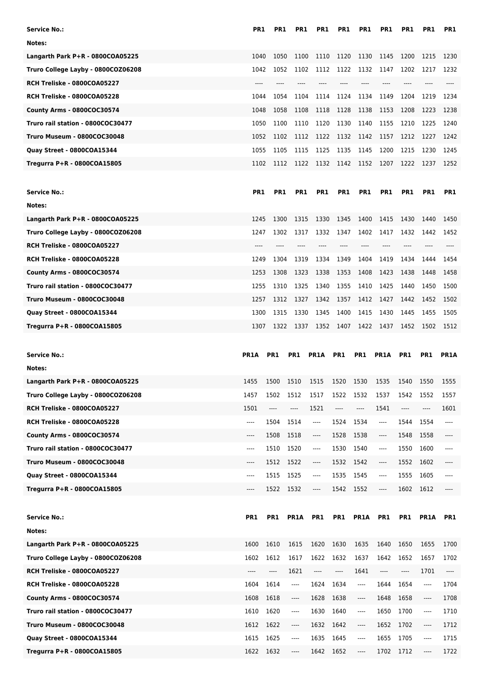| <b>Service No.:</b>                                                    | <b>PR1</b>      | PR1             | PR <sub>1</sub> | PR <sub>1</sub>               | PR1                           | PR <sub>1</sub>               | PR1                                                                                                                                                                                                                                                                                                                                                                             | PR1          | PR1                           | PR1          |
|------------------------------------------------------------------------|-----------------|-----------------|-----------------|-------------------------------|-------------------------------|-------------------------------|---------------------------------------------------------------------------------------------------------------------------------------------------------------------------------------------------------------------------------------------------------------------------------------------------------------------------------------------------------------------------------|--------------|-------------------------------|--------------|
| Notes:                                                                 |                 |                 |                 |                               |                               |                               |                                                                                                                                                                                                                                                                                                                                                                                 |              |                               |              |
| Langarth Park P+R - 0800COA05225                                       | 1040            | 1050            | 1100            | 1110                          | 1120                          | 1130                          | 1145                                                                                                                                                                                                                                                                                                                                                                            | 1200         | 1215                          | 1230         |
| Truro College Layby - 0800COZ06208                                     | 1042            | 1052            | 1102            | 1112                          | 1122                          | 1132                          | 1147                                                                                                                                                                                                                                                                                                                                                                            | 1202         | 1217                          | 1232         |
| RCH Treliske - 0800COA05227                                            |                 |                 |                 |                               |                               |                               |                                                                                                                                                                                                                                                                                                                                                                                 |              |                               |              |
| RCH Treliske - 0800COA05228                                            | 1044            | 1054            | 1104            | 1114                          | 1124                          | 1134                          | 1149                                                                                                                                                                                                                                                                                                                                                                            | 1204         | 1219                          | 1234         |
| County Arms - 0800COC30574                                             | 1048            | 1058            | 1108            | 1118                          | 1128                          | 1138                          | 1153                                                                                                                                                                                                                                                                                                                                                                            | 1208         | 1223                          | 1238         |
| Truro rail station - 0800COC30477                                      | 1050            | 1100            | 1110            | 1120                          | 1130                          | 1140                          | 1155                                                                                                                                                                                                                                                                                                                                                                            | 1210         | 1225                          | 1240         |
| <b>Truro Museum - 0800COC30048</b>                                     | 1052            | 1102            | 1112            | 1122                          | 1132                          | 1142                          | 1157                                                                                                                                                                                                                                                                                                                                                                            | 1212         | 1227                          | 1242         |
| Quay Street - 0800COA15344                                             | 1055            | 1105            | 1115            | 1125                          | 1135                          | 1145                          | 1200                                                                                                                                                                                                                                                                                                                                                                            | 1215         | 1230                          | 1245         |
| Tregurra P+R - 0800COA15805                                            | 1102            | 1112            |                 | 1122 1132                     | 1142                          |                               | 1152 1207                                                                                                                                                                                                                                                                                                                                                                       | 1222         | 1237                          | 1252         |
|                                                                        |                 |                 |                 |                               |                               |                               |                                                                                                                                                                                                                                                                                                                                                                                 |              |                               |              |
| Service No.:                                                           | PR <sub>1</sub> | PR <sub>1</sub> | PR1             | PR1                           | PR1                           | PR1                           | PR <sub>1</sub>                                                                                                                                                                                                                                                                                                                                                                 | PR1          | PR <sub>1</sub>               | PR1          |
| Notes:                                                                 |                 |                 |                 |                               |                               |                               |                                                                                                                                                                                                                                                                                                                                                                                 |              |                               |              |
| Langarth Park P+R - 0800COA05225                                       | 1245            | 1300            | 1315            | 1330                          | 1345                          | 1400                          | 1415                                                                                                                                                                                                                                                                                                                                                                            | 1430         | 1440                          | 1450         |
| Truro College Layby - 0800COZ06208                                     | 1247            | 1302            | 1317            | 1332                          | 1347                          | 1402                          | 1417                                                                                                                                                                                                                                                                                                                                                                            | 1432         | 1442                          | 1452         |
| RCH Treliske - 0800COA05227                                            | $---$           | $---$           | $---$           | ----                          | $---$                         | $---$                         | ----                                                                                                                                                                                                                                                                                                                                                                            | $---$        | $---$                         |              |
| RCH Treliske - 0800COA05228                                            | 1249            | 1304            | 1319            | 1334                          | 1349                          | 1404                          | 1419                                                                                                                                                                                                                                                                                                                                                                            | 1434         | 1444                          | 1454         |
| County Arms - 0800COC30574                                             | 1253            | 1308            | 1323            | 1338                          | 1353                          | 1408                          | 1423                                                                                                                                                                                                                                                                                                                                                                            | 1438         | 1448                          | 1458         |
| Truro rail station - 0800COC30477                                      | 1255            | 1310            | 1325            | 1340                          | 1355                          | 1410                          | 1425                                                                                                                                                                                                                                                                                                                                                                            | 1440         | 1450                          | 1500         |
| Truro Museum - 0800COC30048                                            | 1257            | 1312            | 1327            | 1342                          | 1357                          | 1412                          | 1427                                                                                                                                                                                                                                                                                                                                                                            | 1442         | 1452                          | 1502         |
| Quay Street - 0800COA15344                                             | 1300            | 1315            | 1330            | 1345                          | 1400                          | 1415                          | 1430                                                                                                                                                                                                                                                                                                                                                                            | 1445         | 1455                          | 1505         |
| Tregurra P+R - 0800COA15805                                            | 1307            | 1322            | 1337            | 1352                          | 1407                          | 1422                          | 1437                                                                                                                                                                                                                                                                                                                                                                            | 1452         | 1502                          | 1512         |
|                                                                        |                 |                 |                 |                               |                               |                               |                                                                                                                                                                                                                                                                                                                                                                                 |              |                               |              |
|                                                                        |                 |                 |                 |                               |                               |                               |                                                                                                                                                                                                                                                                                                                                                                                 |              |                               |              |
| <b>Service No.:</b>                                                    | <b>PR1A</b>     | PR1             | PR1             | <b>PR1A</b>                   | PR1                           | PR1                           | PR1A                                                                                                                                                                                                                                                                                                                                                                            | PR1          | PR1                           | <b>PR1A</b>  |
| Notes:                                                                 |                 |                 |                 |                               |                               |                               |                                                                                                                                                                                                                                                                                                                                                                                 |              |                               |              |
|                                                                        | 1455            | 1500            | 1510            | 1515                          | 1520                          | 1530                          | 1535                                                                                                                                                                                                                                                                                                                                                                            |              | 1550                          | 1555         |
| Langarth Park P+R - 0800COA05225                                       | 1457            | 1502            | 1512            | 1517                          | 1522                          | 1532                          | 1537                                                                                                                                                                                                                                                                                                                                                                            | 1540<br>1542 | 1552                          | 1557         |
| Truro College Layby - 0800COZ06208<br>RCH Treliske - 0800COA05227      | 1501            | $---$           | ----            | 1521                          | ----                          | ----                          | 1541                                                                                                                                                                                                                                                                                                                                                                            | ----         | ----                          | 1601         |
| RCH Treliske - 0800COA05228                                            | ----            | 1504            | 1514            | ----                          | 1524                          | 1534                          | ----                                                                                                                                                                                                                                                                                                                                                                            | 1544         | 1554                          | ----         |
| County Arms - 0800COC30574                                             | ----            | 1508            | 1518            | ----                          | 1528                          | 1538                          | $\hspace{0.01em}\rule{0.7pt}{0.1em}\hspace{0.01em}\hspace{0.01em}\hspace{0.01em}\hspace{0.01em}\hspace{0.01em}\hspace{0.01em}\hspace{0.01em}\hspace{0.01em}\hspace{0.01em}\hspace{0.01em}\hspace{0.01em}\hspace{0.01em}\hspace{0.01em}\hspace{0.01em}\hspace{0.01em}\hspace{0.01em}\hspace{0.01em}\hspace{0.01em}\hspace{0.01em}\hspace{0.01em}\hspace{0.01em}\hspace{0.01em}\$ | 1548         | 1558                          | ----         |
| Truro rail station - 0800COC30477                                      | ----            | 1510            | 1520            | ----                          | 1530                          | 1540                          | ----                                                                                                                                                                                                                                                                                                                                                                            | 1550         | 1600                          | ----         |
| Truro Museum - 0800COC30048                                            | ----            | 1512            | 1522            | $\cdots$                      | 1532                          | 1542                          | $\cdots$                                                                                                                                                                                                                                                                                                                                                                        | 1552         | 1602                          | ----         |
| Quay Street - 0800COA15344                                             | ----            | 1515            | 1525            | $---$                         | 1535                          | 1545                          | ----                                                                                                                                                                                                                                                                                                                                                                            | 1555         | 1605                          | ----         |
| Tregurra P+R - 0800COA15805                                            | ----            | 1522            | 1532            | ----                          | 1542                          | 1552                          | $\cdots$                                                                                                                                                                                                                                                                                                                                                                        | 1602         | 1612                          | ----         |
|                                                                        |                 |                 |                 |                               |                               |                               |                                                                                                                                                                                                                                                                                                                                                                                 |              |                               |              |
|                                                                        |                 | PR1             |                 |                               |                               |                               |                                                                                                                                                                                                                                                                                                                                                                                 |              |                               |              |
| <b>Service No.:</b><br>Notes:                                          | PR1             |                 | PR1A            | PR1                           | PR1                           | PR1A                          | PR1                                                                                                                                                                                                                                                                                                                                                                             | PR1          | PR1A                          | PR1          |
|                                                                        |                 |                 |                 |                               |                               |                               |                                                                                                                                                                                                                                                                                                                                                                                 |              |                               |              |
| Langarth Park P+R - 0800COA05225<br>Truro College Layby - 0800COZ06208 | 1600<br>1602    | 1610<br>1612    | 1615<br>1617    | 1620<br>1622                  | 1630<br>1632                  | 1635<br>1637                  | 1640<br>1642                                                                                                                                                                                                                                                                                                                                                                    | 1650<br>1652 | 1655<br>1657                  | 1700<br>1702 |
|                                                                        | ----            | ----            | 1621            | $\hspace{1.5cm} \textbf{---}$ | $\hspace{1.5cm} \textbf{---}$ | 1641                          | ----                                                                                                                                                                                                                                                                                                                                                                            | $\cdots$     | 1701                          | ----         |
| RCH Treliske - 0800COA05227                                            | 1604            | 1614            | ----            |                               | 1634                          | ----                          | 1644                                                                                                                                                                                                                                                                                                                                                                            | 1654         | $\overline{\phantom{a}}$      | 1704         |
| RCH Treliske - 0800COA05228                                            |                 |                 | ----            | 1624                          |                               | $---$                         |                                                                                                                                                                                                                                                                                                                                                                                 |              | ----                          |              |
| County Arms - 0800COC30574<br>Truro rail station - 0800COC30477        | 1608            | 1618<br>1620    | ----            | 1628                          | 1638<br>1640                  | ----                          | 1648                                                                                                                                                                                                                                                                                                                                                                            | 1658<br>1700 | ----                          | 1708         |
|                                                                        | 1610            |                 | ----            | 1630                          |                               | $\hspace{1.5cm} \textbf{---}$ | 1650                                                                                                                                                                                                                                                                                                                                                                            |              | $\hspace{1.5cm} \textbf{---}$ | 1710         |
| Truro Museum - 0800COC30048<br>Quay Street - 0800COA15344              | 1612<br>1615    | 1622<br>1625    | ----            | 1632<br>1635                  | 1642<br>1645                  | ----                          | 1652<br>1655                                                                                                                                                                                                                                                                                                                                                                    | 1702<br>1705 | ----                          | 1712<br>1715 |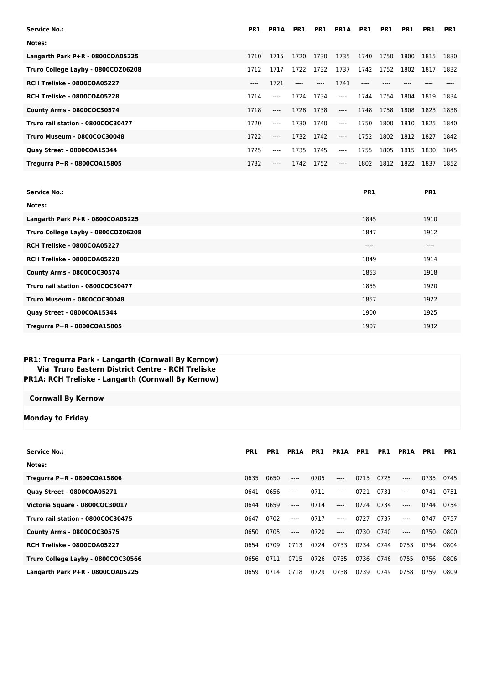| PR1   | <b>PR1A</b> | PR1   | PR1   | <b>PR1A</b> | PR1  | PR1  | PR1  | PR1  | PR1  |
|-------|-------------|-------|-------|-------------|------|------|------|------|------|
|       |             |       |       |             |      |      |      |      |      |
| 1710  | 1715        | 1720  | 1730  | 1735        | 1740 | 1750 | 1800 | 1815 | 1830 |
| 1712  | 1717        | 1722  | 1732  | 1737        | 1742 | 1752 | 1802 | 1817 | 1832 |
| $---$ | 1721        | $---$ | $---$ | 1741        |      |      |      |      |      |
| 1714  | ----        | 1724  | 1734  | $---$       | 1744 | 1754 | 1804 | 1819 | 1834 |
| 1718  | $---$       | 1728  |       | $---$       | 1748 |      | 1808 | 1823 | 1838 |
| 1720  | $---$       | 1730  | 1740  | $---$       | 1750 | 1800 | 1810 | 1825 | 1840 |
| 1722  | $---$       | 1732  | 1742  | $---$       | 1752 | 1802 | 1812 | 1827 | 1842 |
| 1725  | $---$       | 1735  | 1745  | $---$       | 1755 | 1805 | 1815 | 1830 | 1845 |
| 1732  | ----        | 1742  | 1752  | $---$       | 1802 | 1812 | 1822 | 1837 | 1852 |
|       |             |       |       | 1738        |      |      | 1758 |      |      |

| <b>Service No.:</b>                | <b>PR1</b> | PR <sub>1</sub> |
|------------------------------------|------------|-----------------|
| Notes:                             |            |                 |
| Langarth Park P+R - 0800COA05225   | 1845       | 1910            |
| Truro College Layby - 0800COZ06208 | 1847       | 1912            |
| RCH Treliske - 0800COA05227        | $---$      | $---$           |
| RCH Treliske - 0800COA05228        | 1849       | 1914            |
| County Arms - 0800COC30574         | 1853       | 1918            |
| Truro rail station - 0800COC30477  | 1855       | 1920            |
| Truro Museum - 0800COC30048        | 1857       | 1922            |
| Quay Street - 0800COA15344         | 1900       | 1925            |
| Tregurra P+R - 0800COA15805        | 1907       | 1932            |

## **PR1: Tregurra Park - Langarth (Cornwall By Kernow) Via Truro Eastern District Centre - RCH Treliske PR1A: RCH Treliske - Langarth (Cornwall By Kernow)**

## **Cornwall By Kernow**

## **Monday to Friday**

| <b>Service No.:</b>                | PR <sub>1</sub> | PR1  | <b>PR1A</b> | PR1  | <b>PR1A</b> | PR1  | PR1  | <b>PR1A</b> | PR1  | PR1  |
|------------------------------------|-----------------|------|-------------|------|-------------|------|------|-------------|------|------|
| Notes:                             |                 |      |             |      |             |      |      |             |      |      |
| Tregurra P+R - 0800COA15806        | 0635            | 0650 | $---$       | 0705 | $---$       | 0715 | 0725 | $---$       | 0735 | 0745 |
| Quay Street - 0800COA05271         | 0641            | 0656 | $---$       | 0711 | $---$       | 0721 | 0731 | $---$       | 0741 | 0751 |
| Victoria Square - 0800COC30017     | 0644            | 0659 | $---$       | 0714 | $---$       | 0724 | 0734 | $---$       | 0744 | 0754 |
| Truro rail station - 0800COC30475  | 0647            | 0702 | $---$       | 0717 | $---$       | 0727 | 0737 | $---$       | 0747 | 0757 |
| County Arms - 0800COC30575         | 0650            | 0705 | $---$       | 0720 | $---$       | 0730 | 0740 | $---$       | 0750 | 0800 |
| RCH Treliske - 0800COA05227        | 0654            | 0709 | 0713        | 0724 | 0733        | 0734 | 0744 | 0753        | 0754 | 0804 |
| Truro College Layby - 0800COC30566 | 0656            | 0711 | 0715        | 0726 | 0735        | 0736 | 0746 | 0755        | 0756 | 0806 |
| Langarth Park $P+R - 0800COA05225$ | 0659            | 0714 | 0718        | 0729 | 0738        | 0739 | 0749 | 0758        | 0759 | 0809 |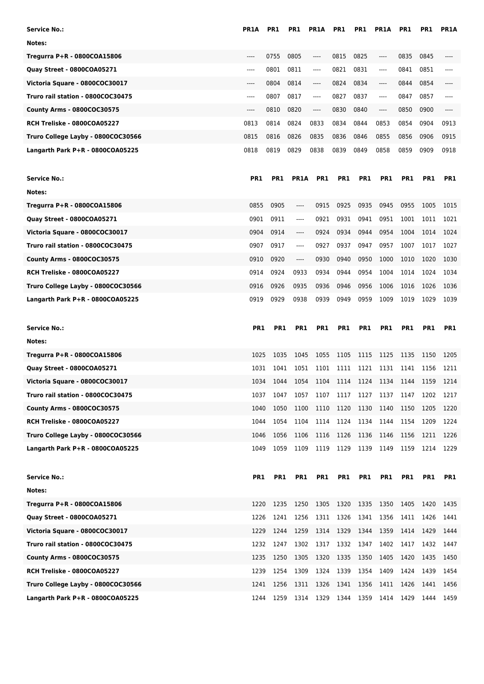| Service No.:                       | <b>PR1A</b> | PR1        | PR1         | <b>PR1A</b> | PR1             | PR1        | <b>PR1A</b>     | PR1             | PR1  | <b>PR1A</b>     |
|------------------------------------|-------------|------------|-------------|-------------|-----------------|------------|-----------------|-----------------|------|-----------------|
| Notes:                             |             |            |             |             |                 |            |                 |                 |      |                 |
| Tregurra P+R - 0800COA15806        | ----        | 0755       | 0805        | $---$       | 0815            | 0825       | $---$           | 0835            | 0845 |                 |
| Quay Street - 0800COA05271         | ----        | 0801       | 0811        | $---$       | 0821            | 0831       | $\cdots$        | 0841            | 0851 | ----            |
| Victoria Square - 0800COC30017     | ----        | 0804       | 0814        | $---$       | 0824            | 0834       | ----            | 0844            | 0854 | ----            |
| Truro rail station - 0800COC30475  | ----        | 0807       | 0817        | $---$       | 0827            | 0837       | $\cdots$        | 0847            | 0857 | ----            |
| County Arms - 0800COC30575         | ----        | 0810       | 0820        | $---$       | 0830            | 0840       | $---$           | 0850            | 0900 | ----            |
| RCH Treliske - 0800COA05227        | 0813        | 0814       | 0824        | 0833        | 0834            | 0844       | 0853            | 0854            | 0904 | 0913            |
| Truro College Layby - 0800COC30566 | 0815        | 0816       | 0826        | 0835        | 0836            | 0846       | 0855            | 0856            | 0906 | 0915            |
| Langarth Park P+R - 0800COA05225   | 0818        | 0819       | 0829        | 0838        | 0839            | 0849       | 0858            | 0859            | 0909 | 0918            |
|                                    |             |            |             |             |                 |            |                 |                 |      |                 |
| Service No.:                       | PR1         | PR1        | <b>PR1A</b> | PR1         | PR <sub>1</sub> | PR1        | PR <sub>1</sub> | PR1             | PR1  | PR <sub>1</sub> |
| Notes:                             |             |            |             |             |                 |            |                 |                 |      |                 |
| Tregurra P+R - 0800COA15806        | 0855        | 0905       | ----        | 0915        | 0925            | 0935       | 0945            | 0955            | 1005 | 1015            |
| Quay Street - 0800COA05271         | 0901        | 0911       | ----        | 0921        | 0931            | 0941       | 0951            | 1001            | 1011 | 1021            |
| Victoria Square - 0800COC30017     | 0904        | 0914       | ----        | 0924        | 0934            | 0944       | 0954            | 1004            | 1014 | 1024            |
| Truro rail station - 0800COC30475  | 0907        | 0917       | ----        | 0927        | 0937            | 0947       | 0957            | 1007            | 1017 | 1027            |
| County Arms - 0800COC30575         | 0910        | 0920       | ----        | 0930        | 0940            | 0950       | 1000            | 1010            | 1020 | 1030            |
| RCH Treliske - 0800COA05227        | 0914        | 0924       | 0933        | 0934        | 0944            | 0954       | 1004            | 1014            | 1024 | 1034            |
| Truro College Layby - 0800COC30566 | 0916        | 0926       | 0935        | 0936        | 0946            | 0956       | 1006            | 1016            | 1026 | 1036            |
| Langarth Park P+R - 0800COA05225   | 0919        | 0929       | 0938        | 0939        | 0949            | 0959       | 1009            | 1019            | 1029 | 1039            |
|                                    |             |            |             |             |                 |            |                 |                 |      |                 |
| <b>Service No.:</b>                | <b>PR1</b>  | <b>PR1</b> | PR1         | <b>PR1</b>  | PR <sub>1</sub> | <b>PR1</b> | <b>PR1</b>      | PR <sub>1</sub> | PR1  | <b>PR1</b>      |
| Notes:                             |             |            |             |             |                 |            |                 |                 |      |                 |
| Tregurra P+R - 0800COA15806        | 1025        | 1035       | 1045        | 1055        | 1105            | 1115       | 1125            | 1135            | 1150 | 1205            |
| <b>Quay Street - 0800COA05271</b>  | 1031        | 1041       | 1051        | 1101        | 1111            | 1121       | 1131            | 1141            | 1156 | 1211            |
| Victoria Square - 0800COC30017     | 1034        | 1044       | 1054        | 1104        | 1114            | 1124       | 1134            | 1144            | 1159 | 1214            |
| Truro rail station - 0800COC30475  | 1037        | 1047       | 1057        | 1107        | 1117            | 1127       | 1137            | 1147            | 1202 | 1217            |
| County Arms - 0800COC30575         | 1040        | 1050       | 1100        | 1110        | 1120            | 1130       | 1140            | 1150            | 1205 | 1220            |
| RCH Treliske - 0800COA05227        | 1044        | 1054       | 1104        | 1114        | 1124            | 1134       | 1144            | 1154            | 1209 | 1224            |
| Truro College Layby - 0800COC30566 | 1046        | 1056       | 1106        | 1116        | 1126            | 1136       | 1146            | 1156            | 1211 | 1226            |
| Langarth Park P+R - 0800COA05225   | 1049        | 1059       | 1109        | 1119        | 1129            | 1139       | 1149            | 1159            | 1214 | 1229            |
|                                    |             |            |             |             |                 |            |                 |                 |      |                 |
| <b>Service No.:</b>                | <b>PR1</b>  | PR1        | PR1         | PR1         | PR1             | PR1        | PR1             | PR1             | PR1  | PR1             |
| Notes:                             |             |            |             |             |                 |            |                 |                 |      |                 |
| Tregurra P+R - 0800COA15806        |             |            |             |             |                 |            |                 |                 |      |                 |
|                                    | 1220        | 1235       | 1250        | 1305        | 1320            |            | 1335 1350       | 1405            | 1420 | 1435            |
| Quay Street - 0800COA05271         | 1226        | 1241       | 1256        | 1311        | 1326            | 1341       | 1356            | 1411            | 1426 | 1441            |
| Victoria Square - 0800COC30017     | 1229        | 1244       | 1259        | 1314        | 1329            | 1344       | 1359            | 1414            | 1429 | 1444            |
| Truro rail station - 0800COC30475  | 1232        | 1247       | 1302        | 1317        | 1332            | 1347       | 1402            | 1417            | 1432 | 1447            |
| County Arms - 0800COC30575         | 1235        | 1250       | 1305        | 1320        | 1335            | 1350       | 1405            | 1420            | 1435 | 1450            |
| RCH Treliske - 0800COA05227        | 1239        | 1254       | 1309        | 1324        | 1339            | 1354       | 1409            | 1424            | 1439 | 1454            |
| Truro College Layby - 0800COC30566 | 1241        | 1256       | 1311        | 1326        | 1341            | 1356       | 1411            | 1426            | 1441 | 1456            |